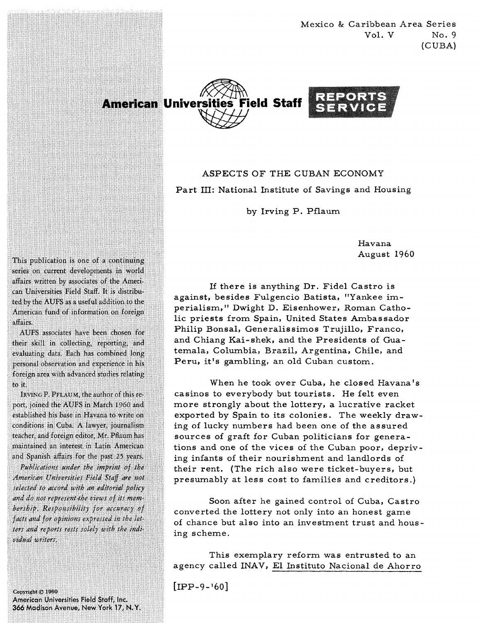Mexico & Caribbean Area Series  $Vol. V$  No. 9 (CUBA)



ASPECTS OF THE CUBAN ECONOMY Part 111: National Institute of Savings and Housing

by Irving P. Pflaum

Havana August 1960

If there is anything Dr. Fidel Castro is against, besides Fulgencio Batista, "Yankee imperialism, " Dwight D. Eisenhower, Roman Catholic priests from Spain, United States Ambassador Philip Bonsal, Generalissimos Trujillo, Franco, and Chiang Kai-shek, and the Presidents of Guatemala, Columbia, Brazil, Argentina, Chile, and Peru, it's gambling, an old Cuban custom.

When he took over Cuba, he closed Havana's casinos to everybody but tourists. He felt even more strongly about the lottery, a lucrative racket exported by Spain to its colonies. The weekly drawing of lucky numbers had been one of the assured sources of graft for Cuban politicians for generations and one of the vices of the Cuban poor, depriving infants of their nourishment and landlords of their rent. (The rich also were ticket-buyers, but presumably at less cost to families and creditors.)

Soon after he gained control of Cuba, Castro converted the lottery not only into an honest game of chance but also into an investment trust and housing scheme.

This exemplary reform was entrusted to an agency called INAV, El Instituto Nacional de Ahorro

 $[IPP-9-160]$ 

This publication is one of a continuing series on current developments in world affairs written by associates of the American Universities Field Staff. It is distributed by the AUFS as a useful addition to the American fund of information on foreign affairs.

AUFS associates have been chosen for their skill in collecting, reporting, and evaluating data. Each has combined long personal observation and experience in his foreign area with advanced studies relating to it.

IRVING P. PFLAUM, the author of this report, joined the AUFS in March 1960 and established his base in Havana to write on conditions in Cuba. A lawyer, journalism teacher, and foreign editor, Mr. Pflaum has maintained an interest in Latin American and Spanish affairs for the past 25 years.

Publications under the imprint of the American Universities Field Staff are not selected to accord with an editorial policy and do not represent the views of its membership. Responsibility for accuracy of facts and for opinions expressed in the letters and reports rests solely with the individual writers.

Copyright © 1960 American Universities Field Staff, Inc. 366 Madison Avenue, New York 17, N.Y.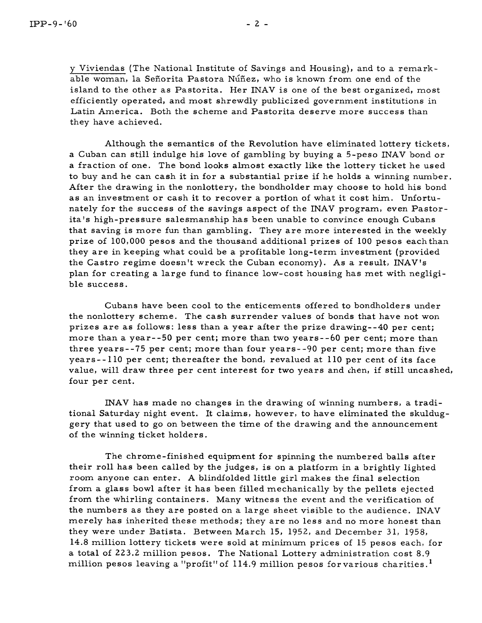y Viviendas (The National Institute of Savings and Housing), and to a remarkable woman, la Señorita Pastora Núñez, who is known from one end of the island to the other as Pastorita. Her INAV is one of the best organized, most efficiently operated, and most shrewdly publicized government institutions in Latin America. Both the scheme and Pastorita deserve more success than they have achieved.

Although the semantics of the Revolution have eliminated lottery tickets, a Cuban can still indulge his love of gambling by buying a 5-peso INAV bond or a fraction of one. The bond looks almost exactly like the lottery ticket he used to buy and he can cash it in for a substantial prize if he holds a winning number. After the drawing in the nonlottery, the bondholder may choose to hold his bond as an investment or cash it to recover a portion of what it cost him. Unfortunately for the success of the savings aspect of the INAV program, even Pastorita's high-pressure salesmanship has been unable to convince enough Cubans that saving is more fun than gambling. They are more interested in the weekly prize of 100,000 pesos and the thousand additional prizes of 100 pesos eachthan they are in keeping what could be a profitable long-term investment (provided the Castro regime doesn't wreck the Cuban economy). As a result, INAV's plan for creating a large fund to finance low-cost housing has met with negligible success.

Cubans have been cool to the enticements offered to bondholders under the nonlottery scheme. The cash surrender values of bonds that have not won prizes are as follows: less than a year after the prize drawing--40 per cent; more than a year--50 per cent; more than two years--60 per cent; more than three years--75 per cent; more than four years--90 per cent; more than five years-- 110 per cent; thereafter the bond, revalued at 110 per cent of its face value, will draw three per cent interest for two years and ihen, if still uncashed, four per cent.

INAV has made no changes in the drawing of winning numbers, a traditional Saturday night event. It claims, however, to have eliminated the skulduggery that used to go on between the time of the drawing and the announcement of the winning ticket holders.

The chrome-finished equipment for spinning the numbered balls after their roll has been called by the judges, is on a platform in a brightly lighted room anyone can enter. **A** blindfolded little girl makes the final selection from a glass bowl after it has been filled mechanically by the pellets ejected from the whirling containers. Many witness the event and the verification of the numbers as they are posted on a large sheet visible to the audience. INAV merely has inherited these methods; they are no less and no more honest than they were under Batista. Between March 15, 1952, and December 31, 1958, 14.8 million lottery tickets were sold at minimum prices of 15 pesos each, for a total of **223.2** million pesos. The National Lottery administration cost 8.9 million pesos leaving a "profit" of 114.9 million pesos for various charities.<sup>1</sup>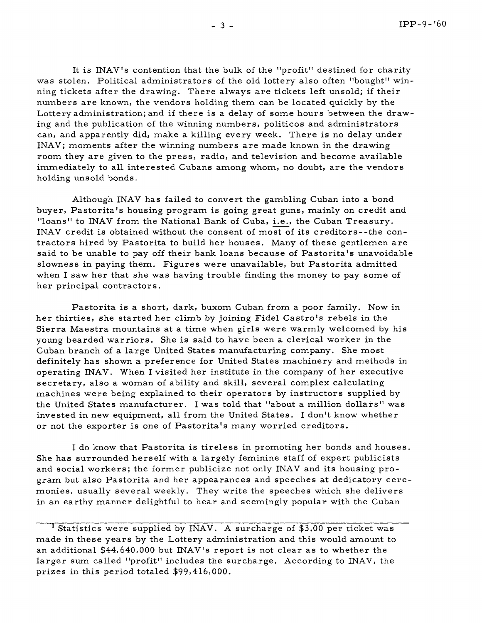It is INAV's contention that the bulk of the "profit" destined for charity was stolen. Political administrators of the old lottery also often "bought" winning tickets after the drawing. There always are tickets left unsold; if their numbers are known, the vendors holding them can be located quickly by the Lottery administration; and if there is a delay of some hours between the drawing and the publication of the winning numbers, politicos and administrators can, and apparently did, make a killing every week. There is no delay under INAV; moments after the winning numbers are made known in the drawing room they are given to the press, radio, and television and become available immediately to all interested Cubans among whom, no doubt, are the vendors holding unsold bonds.

Although INAV has failed to convert the gambling Cuban into a bond buyer, Pastorita's housing program is going great guns, mainly on credit and "loans" to INAV from the National Bank of Cuba, i.e., the Cuban Treasury. INAV credit is obtained without the consent of most of its creditors--the contractors hired by Pastorita to build her houses. Many of these gentlemen are said to be unable to pay off their bank loans because of Pastorita's unavoidable slowness in paying them. Figures were unavailable, but Pastorita admitted when I saw her that she was having trouble finding the money to pay some of her principal contractors.

Pastorita is a short, dark, buxom Cuban from a poor family. Now in her thirties, she started her climb by joining Fidel Castro's rebels in the Sierra Maestra mountains at a time when girls were warmly welcomed by his young bearded warriors. She is said to have been a clerical worker in the Cuban branch of a large United States manufacturing company. She most definitely has shown a preference for United States machinery and methods in operating INAV. When I visited her institute in the company of her executive secretary, also a woman of ability and skill, several complex calculating machines were being explained to their operators by instructors supplied by the United States manufacturer. I was told that "about a million dollars" was invested in new equipment, all from the United States. I don't know whether or not the exporter is one of Pastoritals many worried creditors.

I do know that Pastorita is tireless in promoting her bonds and houses. She has surrounded herself with a largely feminine staff of expert publicists and social workers; the former publicize not only INAV and its housing program but also Pastorita and her appearances and speeches at dedicatory ceremonies, usually several weekly. They write the speeches which she delivers in an earthy manner delightful to hear and seemingly popular with the Cuban

<sup>&#</sup>x27; Statistics were supplied by INAV. A surcharge of \$3.00 per ticket was made in these years by the Lottery administration and this would amount to an additional \$44,640,000 but INAV's report is not clear as to whether the larger sum called "profit" includes the surcharge. According to INAV, the prizes in this period totaled \$99,416,000.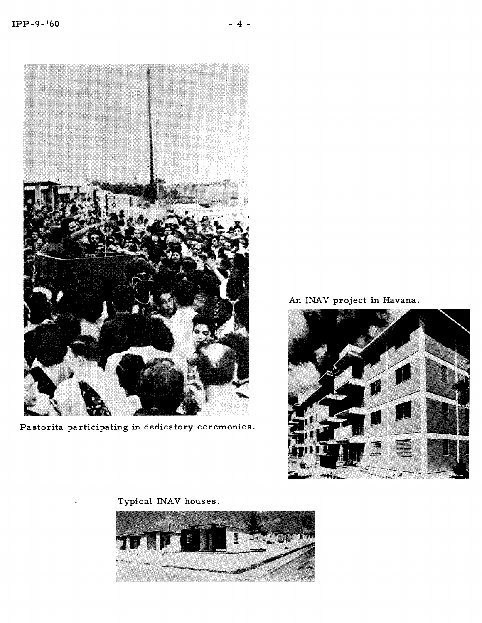

Pastorita participating in dedicatory ceremonies

An INAV project in Havana.



Typical INAV houses .

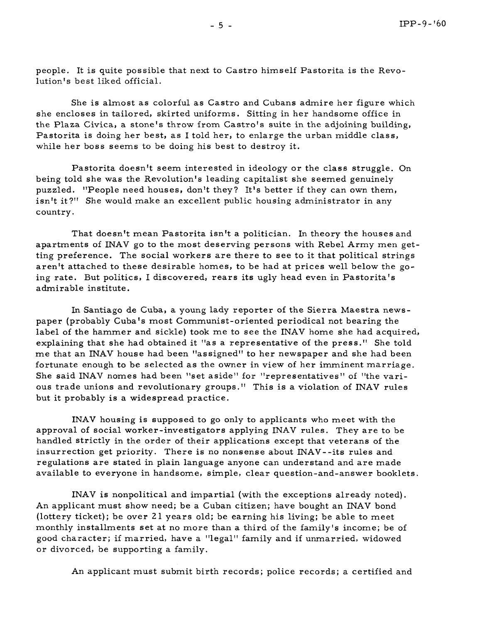people. It is quite possible that next to Castro himself Pastorita is the Revolution's best liked official.

She is almost as colorful as Castro and Cubans admire her figure which she encloses in tailored, skirted uniforms. Sitting in her handsome office in the Plaza Civica, a stone's throw from Castro's suite in the adjoining building, Pastorita is doing her best, as I told her, to enlarge the urban middle class, while her boss seems to be doing his best to destroy it.

Pastorita doesn't seem interested in ideology or the class struggle. On being told she was the Revolution's leading capitalist she seemed genuinely puzzled. "People need houses, don't they? It's better if they can own them, isn't it?" She would make an excellent public housing administrator in any country.

That doesn't mean Pastorita isn't a politician. In theory the houses and apartments of INAV go to the most deserving persons with Rebel Army men getting preference. The social workers are there to see to it that political strings aren't attached to these desirable homes, to be had at prices well below the going rate. But politics, I discovered, rears its ugly head even in Pastorita's admirable institute.

In Santiago de Cuba, a young lady reporter of the Sierra Maestra newspaper (probably Cuba's most Communist-oriented periodical not bearing the label of the hammer and sickle) took me to see the INAV home she had acquired, explaining that she had obtained it "as a representative of the press." She told me that an INAV house had been "assigned" to her newspaper and she had been fortunate enough to be selected as the owner in view of her imminent marriage. She said INAV nomes had been "set aside" for "representatives" of "the various trade unions and revolutionary groups." This is a violation of INAV rules but it probably is a widespread practice.

INAV housing is supposed to go only to applicants who meet with the approval of social worker-investigators applying INAV rules. They are to be handled strictly in the order of their applications except that veterans of the insurrection get priority. There is no nonsense about INAV--its rules and regulations are stated in plain language anyone can understand and are made available to everyone in handsome, simple, clear question-and-answer booklets.

INAV is nonpolitical and impartial (with the exceptions already noted). An applicant must show need; be a Cuban citizen; have bought an INAV bond (lottery ticket); be over 21 years old; be earning his living; be able to meet monthly installments set at no more than a third of the family's income; be of good character; if married, have a "legal" family and if unmarried, widowed or divorced, be supporting a family.

An applicant must submit birth records; police records; a certified and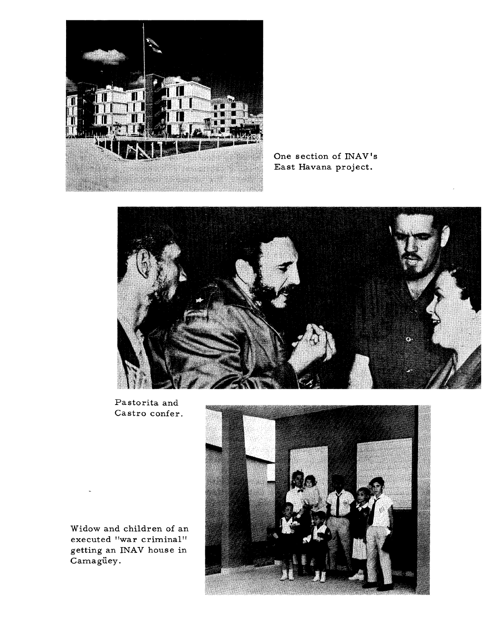

One section of INAV's East Havana project.



Pastorita and Castro confer.



Widow and children of an executed "war criminal" getting an INAV house in Camagüey.